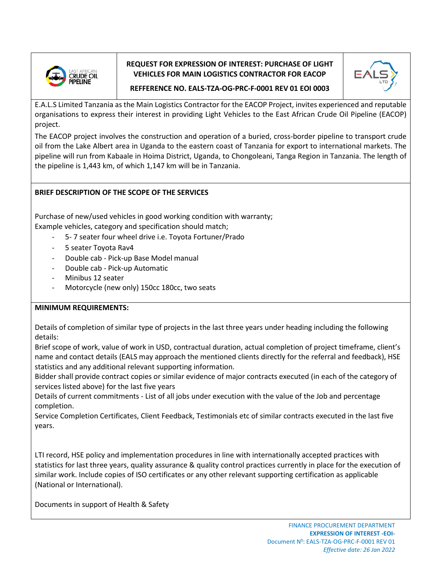

## **REQUEST FOR EXPRESSION OF INTEREST: PURCHASE OF LIGHT VEHICLES FOR MAIN LOGISTICS CONTRACTOR FOR EACOP**



**REFFERENCE NO. EALS-TZA-OG-PRC-F-0001 REV 01 EOI 0003**

E.A.L.S Limited Tanzania as the Main Logistics Contractor for the EACOP Project, invites experienced and reputable organisations to express their interest in providing Light Vehicles to the East African Crude Oil Pipeline (EACOP) project.

The EACOP project involves the construction and operation of a buried, cross-border pipeline to transport crude oil from the Lake Albert area in Uganda to the eastern coast of Tanzania for export to international markets. The pipeline will run from Kabaale in Hoima District, Uganda, to Chongoleani, Tanga Region in Tanzania. The length of the pipeline is 1,443 km, of which 1,147 km will be in Tanzania.

## **BRIEF DESCRIPTION OF THE SCOPE OF THE SERVICES**

Purchase of new/used vehicles in good working condition with warranty; Example vehicles, category and specification should match;

- 5- 7 seater four wheel drive i.e. Toyota Fortuner/Prado
- 5 seater Toyota Rav4
- Double cab Pick-up Base Model manual
- Double cab Pick-up Automatic
- Minibus 12 seater
- Motorcycle (new only) 150cc 180cc, two seats

## **MINIMUM REQUIREMENTS:**

Details of completion of similar type of projects in the last three years under heading including the following details:

Brief scope of work, value of work in USD, contractual duration, actual completion of project timeframe, client's name and contact details (EALS may approach the mentioned clients directly for the referral and feedback), HSE statistics and any additional relevant supporting information.

Bidder shall provide contract copies or similar evidence of major contracts executed (in each of the category of services listed above) for the last five years

Details of current commitments - List of all jobs under execution with the value of the Job and percentage completion.

Service Completion Certificates, Client Feedback, Testimonials etc of similar contracts executed in the last five years.

LTI record, HSE policy and implementation procedures in line with internationally accepted practices with statistics for last three years, quality assurance & quality control practices currently in place for the execution of similar work. Include copies of ISO certificates or any other relevant supporting certification as applicable (National or International).

Documents in support of Health & Safety